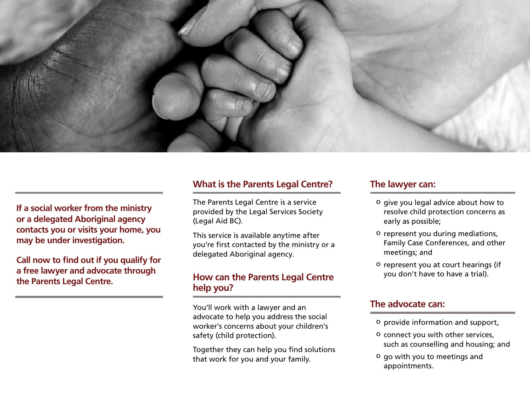

**If a social worker from the ministry or a delegated Aboriginal agency contacts you or visits your home, you may be under investigation.** 

**Call now to find out if you qualify for a free lawyer and advocate through the Parents Legal Centre.**

### **What is the Parents Legal Centre?**

The Parents Legal Centre is a service provided by the Legal Services Society (Legal Aid BC).

This service is available anytime after you're first contacted by the ministry or a delegated Aboriginal agency.

## **How can the Parents Legal Centre help you?**

You'll work with a lawyer and an advocate to help you address the social worker's concerns about your children's safety (child protection).

Together they can help you find solutions that work for you and your family.

#### **The lawyer can:**

- o give you legal advice about how to resolve child protection concerns as early as possible;
- o represent you during mediations, Family Case Conferences, and other meetings; and
- o represent you at court hearings (if you don't have to have a trial).

## **The advocate can:**

- o provide information and support,
- o connect you with other services, such as counselling and housing; and
- o go with you to meetings and appointments.